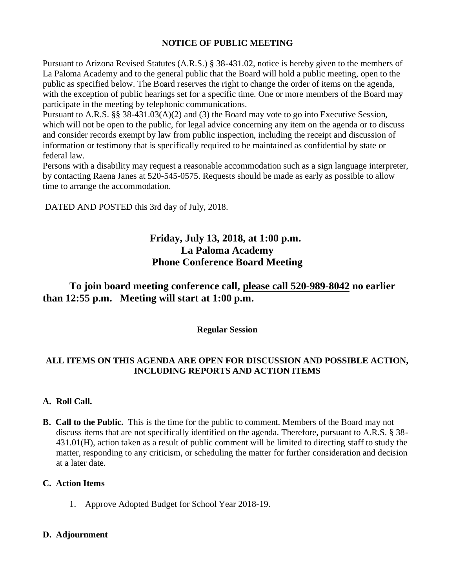### **NOTICE OF PUBLIC MEETING**

Pursuant to Arizona Revised Statutes (A.R.S.) § 38-431.02, notice is hereby given to the members of La Paloma Academy and to the general public that the Board will hold a public meeting, open to the public as specified below. The Board reserves the right to change the order of items on the agenda, with the exception of public hearings set for a specific time. One or more members of the Board may participate in the meeting by telephonic communications.

Pursuant to A.R.S. §§ 38-431.03(A)(2) and (3) the Board may vote to go into Executive Session, which will not be open to the public, for legal advice concerning any item on the agenda or to discuss and consider records exempt by law from public inspection, including the receipt and discussion of information or testimony that is specifically required to be maintained as confidential by state or federal law.

Persons with a disability may request a reasonable accommodation such as a sign language interpreter, by contacting Raena Janes at 520-545-0575. Requests should be made as early as possible to allow time to arrange the accommodation.

DATED AND POSTED this 3rd day of July, 2018.

## **Friday, July 13, 2018, at 1:00 p.m. La Paloma Academy Phone Conference Board Meeting**

### **To join board meeting conference call, please call 520-989-8042 no earlier than 12:55 p.m. Meeting will start at 1:00 p.m.**

**Regular Session**

### **ALL ITEMS ON THIS AGENDA ARE OPEN FOR DISCUSSION AND POSSIBLE ACTION, INCLUDING REPORTS AND ACTION ITEMS**

### **A. Roll Call.**

**B. Call to the Public.** This is the time for the public to comment. Members of the Board may not discuss items that are not specifically identified on the agenda. Therefore, pursuant to A.R.S. § 38- 431.01(H), action taken as a result of public comment will be limited to directing staff to study the matter, responding to any criticism, or scheduling the matter for further consideration and decision at a later date.

### **C. Action Items**

1. Approve Adopted Budget for School Year 2018-19.

### **D. Adjournment**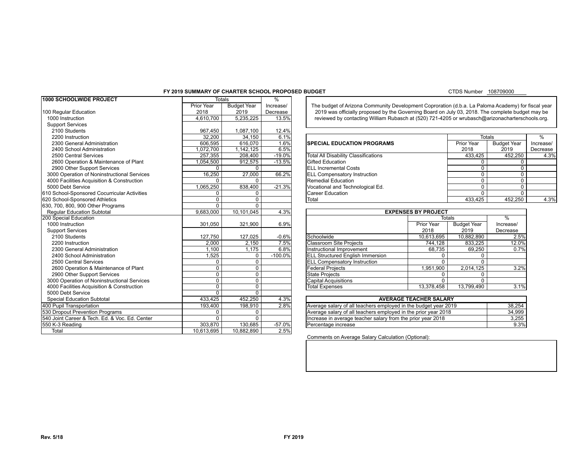### **FY 2019 SUMMARY OF CHARTER SCHOOL PROPOSED BUDGET**

### CTDS Number 108709000

| 1000 SCHOOLWIDE PROJECT                             | <b>Totals</b> |                    | $\frac{9}{6}$ |                                                                                                    |                               |                    |                    |           |  |  |
|-----------------------------------------------------|---------------|--------------------|---------------|----------------------------------------------------------------------------------------------------|-------------------------------|--------------------|--------------------|-----------|--|--|
|                                                     | Prior Year    | <b>Budget Year</b> | Increase/     | The budget of Arizona Community Development Coproration (d.b.a. La Paloma Academy) for fiscal year |                               |                    |                    |           |  |  |
| 100 Regular Education                               | 2018          | 2019               | Decrease      | 2019 was officially proposed by the Governing Board on July 03, 2018. The complete budget may be   |                               |                    |                    |           |  |  |
| 1000 Instruction                                    | 4,610,700     | 5,235,225          | 13.5%         | reviewed by contacting William Rubasch at (520) 721-4205 or wrubasch@arizonacharterschools.org.    |                               |                    |                    |           |  |  |
| <b>Support Services</b>                             |               |                    |               |                                                                                                    |                               |                    |                    |           |  |  |
| 2100 Students                                       | 967,450       | 1,087,100          | 12.4%         |                                                                                                    |                               |                    |                    |           |  |  |
| 2200 Instruction                                    | 32.200        | 34,150             | 6.1%          |                                                                                                    |                               | Totals             |                    | $\%$      |  |  |
| 2300 General Administration                         | 606,595       | 616,070            | 1.6%          | <b>SPECIAL EDUCATION PROGRAMS</b>                                                                  |                               | Prior Year         | <b>Budget Year</b> | Increase/ |  |  |
| 2400 School Administration                          | 1,072,700     | 1,142,125          | 6.5%          |                                                                                                    |                               | 2018               | 2019               | Decrease  |  |  |
| 2500 Central Services                               | 257,355       | 208,400            | $-19.0%$      | <b>Total All Disability Classifications</b>                                                        |                               | 433,425            | 452,250            | 4.3%      |  |  |
| 2600 Operation & Maintenance of Plant               | 1,054,500     | 912,575            | $-13.5%$      | <b>Gifted Education</b>                                                                            |                               | $\Omega$           | $\Omega$           |           |  |  |
| 2900 Other Support Services                         | $\Omega$      | $\Omega$           |               | <b>ELL Incremental Costs</b>                                                                       |                               | $\mathbf 0$        | 0                  |           |  |  |
| 3000 Operation of Noninstructional Services         | 16,250        | 27,000             | 66.2%         | <b>ELL Compensatory Instruction</b>                                                                |                               | $\Omega$           | $\Omega$           |           |  |  |
| 4000 Facilities Acquisition & Construction          | $\Omega$      | $\Omega$           |               | Remedial Education                                                                                 |                               | $\Omega$           | $\Omega$           |           |  |  |
| 5000 Debt Service                                   | 1,065,250     | 838,400            | $-21.3%$      | Vocational and Technological Ed.                                                                   |                               | $\Omega$           | 0                  |           |  |  |
| 610 School-Sponsored Cocurricular Activities        | $\Omega$      | $\mathbf 0$        |               | Career Education                                                                                   |                               | $\Omega$           | $\Omega$           |           |  |  |
| 620 School-Sponsored Athletics                      | $\Omega$      | $\mathbf 0$        |               | <b>Total</b>                                                                                       | 433.425<br>452,250            |                    |                    |           |  |  |
| 630, 700, 800, 900 Other Programs                   | $\Omega$      | $\overline{0}$     |               |                                                                                                    |                               |                    |                    |           |  |  |
| <b>Reqular Education Subtotal</b>                   | 9,683,000     | 10,101,045         | 4.3%          |                                                                                                    | <b>EXPENSES BY PROJECT</b>    |                    |                    |           |  |  |
| 200 Special Education                               |               |                    |               |                                                                                                    |                               | Totals             | %                  |           |  |  |
| 1000 Instruction                                    | 301,050       | 321,900            | 6.9%          |                                                                                                    | <b>Prior Year</b>             | <b>Budget Year</b> | Increase/          |           |  |  |
| <b>Support Services</b>                             |               |                    |               |                                                                                                    | 2018                          | 2019               | Decrease           |           |  |  |
| 2100 Students                                       | 127,750       | 127,025            | $-0.6%$       | Schoolwide                                                                                         | 10,613,695                    | 10,882,890         | 2.5%               |           |  |  |
| 2200 Instruction                                    | 2,000         | 2,150              | 7.5%          | <b>Classroom Site Projects</b>                                                                     | 744,128                       | 833,225            | 12.0%              |           |  |  |
| 2300 General Administration                         | 1.100         | 1.175              | 6.8%          | Instructional Improvement                                                                          | 68.735                        | 69,250             | 0.7%               |           |  |  |
| 2400 School Administration                          | 1,525         | 0                  | $-100.0%$     | <b>ELL Structured English Immersion</b>                                                            | $\mathbf 0$                   | $\mathbf 0$        |                    |           |  |  |
| 2500 Central Services                               | $\mathbf 0$   | $\mathbf 0$        |               | <b>ELL Compensatory Instruction</b>                                                                | $\Omega$                      | $\Omega$           |                    |           |  |  |
| 2600 Operation & Maintenance of Plant               | $\mathbf 0$   | $\mathbf 0$        |               | <b>Federal Projects</b>                                                                            | 1,951,900                     | 2,014,125          | 3.2%               |           |  |  |
| 2900 Other Support Services                         | $\mathbf 0$   | $\overline{0}$     |               | <b>State Projects</b>                                                                              | 0                             | $\mathbf 0$        |                    |           |  |  |
| 3000 Operation of Noninstructional Services         | $\mathbf 0$   | $\mathbf 0$        |               | Capital Acquisitions                                                                               | $\mathbf{0}$                  | $\Omega$           |                    |           |  |  |
| 4000 Facilities Acquisition & Construction          | $\Omega$      | $\overline{0}$     |               | <b>Total Expenses</b>                                                                              | 13,378,458                    | 13,799,490         | 3.1%               |           |  |  |
| 5000 Debt Service                                   | $\Omega$      | $\overline{0}$     |               |                                                                                                    |                               |                    |                    |           |  |  |
| 306pGpediadEddDisabSittotottele 8 PL 103-382 Add-On | 433,425       | 452,250            | 4.3%          |                                                                                                    | <b>AVERAGE TEACHER SALARY</b> |                    |                    |           |  |  |
| 400 Pupil Transportation                            | 193,400       | 198,910            | 2.8%          | Average salary of all teachers employed in the budget year 2019                                    |                               |                    | 38,254             |           |  |  |
| 530 Dropout Prevention Programs                     | $\Omega$      | $\Omega$           |               | Average salary of all teachers employed in the prior year 2018                                     |                               |                    | 34,999             |           |  |  |
| 540 Joint Career & Tech. Ed. & Voc. Ed. Center      | $\Omega$      | $\Omega$           |               | Increase in average teacher salary from the prior year 2018                                        |                               |                    | 3,255              |           |  |  |
| 550 K-3 Reading                                     | 303.870       | 130,685            | $-57.0%$      | Percentage increase                                                                                |                               |                    | 9.3%               |           |  |  |
| Total                                               | 10,613,695    | 10,882,890         | 2.5%          |                                                                                                    |                               |                    |                    |           |  |  |

| 2200 Instruction                           | 32.200    | 34.150    | 6.1%      |                                      | Totals     |                    |           |
|--------------------------------------------|-----------|-----------|-----------|--------------------------------------|------------|--------------------|-----------|
| 2300 General Administration                | 606.595   | 616,070   | 1.6%      | <b>SPECIAL EDUCATION PROGRAMS</b>    | Prior Year | <b>Budget Year</b> | Increase/ |
| 2400 School Administration                 | .072.700  | 1.142.125 | 6.5%      |                                      | 2018       | 2019               | Decrease  |
| 2500 Central Services                      | 257.355   | 208,400   | $-19.0\%$ | Total All Disability Classifications | 433.425    | 452.250            | 4.3%      |
| 2600 Operation & Maintenance of Plant      | 1.054.500 | 912.575   | $-13.5%$  | <b>IGifted Education</b>             |            |                    |           |
| 2900 Other Support Services                |           |           |           | <b>IELL Incremental Costs</b>        |            |                    |           |
| 000 Operation of Noninstructional Services | 16.250    | 27.000    | 66.2%     | <b>IELL Compensatory Instruction</b> |            |                    |           |
| 000 Facilities Acquisition & Construction  |           |           |           | Remedial Education                   |            |                    |           |
| 000 Debt Service                           | 1.065.250 | 838.400   | $-21.3%$  | Vocational and Technological Ed.     |            |                    |           |
| School-Sponsored Cocurricular Activities   |           |           |           | ICareer Education                    |            |                    |           |
| School-Sponsored Athletics                 |           |           |           | Total                                | 433.425    | 452.250            | 4.3%      |

|                                         | <b>EXPENSES BY PROJECT</b> |                    |           |  |  |  |  |  |  |
|-----------------------------------------|----------------------------|--------------------|-----------|--|--|--|--|--|--|
|                                         | Totals                     |                    |           |  |  |  |  |  |  |
|                                         | Prior Year                 | <b>Budget Year</b> | Increase/ |  |  |  |  |  |  |
|                                         | 2018                       | 2019               | Decrease  |  |  |  |  |  |  |
| Schoolwide                              | 10,613,695                 | 10,882,890         | 2.5%      |  |  |  |  |  |  |
| <b>Classroom Site Projects</b>          | 744,128                    | 833,225            | 12.0%     |  |  |  |  |  |  |
| Instructional Improvement               | 68,735                     | 69.250             | 0.7%      |  |  |  |  |  |  |
| <b>ELL Structured English Immersion</b> |                            | 0                  |           |  |  |  |  |  |  |
| <b>ELL Compensatory Instruction</b>     | O                          | 0                  |           |  |  |  |  |  |  |
| <b>Federal Projects</b>                 | 1,951,900                  | 2,014,125          | 3.2%      |  |  |  |  |  |  |
| <b>State Projects</b>                   | 0                          | 0                  |           |  |  |  |  |  |  |
| <b>Capital Acquisitions</b>             | 0                          | 0                  |           |  |  |  |  |  |  |
| <b>Total Expenses</b>                   | 13,378,458                 | 13.799.490         | 3.1%      |  |  |  |  |  |  |

| <b>AVERAGE TEACHER SALARY</b>                                   |        |
|-----------------------------------------------------------------|--------|
| Average salary of all teachers employed in the budget year 2019 | 38.254 |
| Average salary of all teachers employed in the prior year 2018  | 34.999 |
| Increase in average teacher salary from the prior year 2018     | 3.255  |
| Percentage increase                                             | 9.3%   |

Comments on Average Salary Calculation (Optional):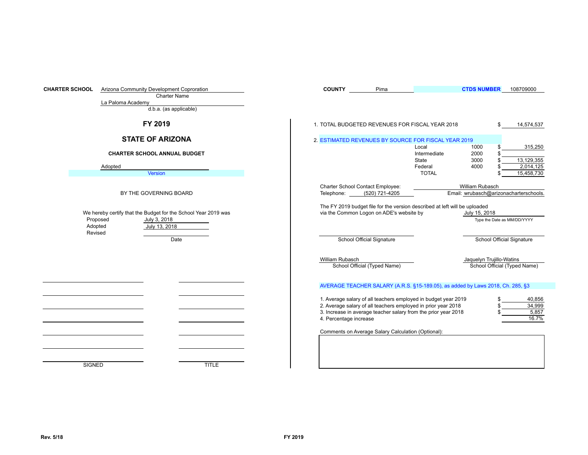| <b>CHARTER SCHOOL</b> |                                | Arizona Community Development Coproration                                                       | <b>COUNTY</b>                                                                                                                                                                                                               | Pima                         |                                | <b>CTDS NUMBER</b>                                        | 108709000                          |
|-----------------------|--------------------------------|-------------------------------------------------------------------------------------------------|-----------------------------------------------------------------------------------------------------------------------------------------------------------------------------------------------------------------------------|------------------------------|--------------------------------|-----------------------------------------------------------|------------------------------------|
|                       | La Paloma Academy              | <b>Charter Name</b>                                                                             |                                                                                                                                                                                                                             |                              |                                |                                                           |                                    |
|                       |                                | d.b.a. (as applicable)                                                                          |                                                                                                                                                                                                                             |                              |                                |                                                           |                                    |
|                       |                                | FY 2019                                                                                         | 1. TOTAL BUDGETED REVENUES FOR FISCAL YEAR 2018                                                                                                                                                                             |                              |                                |                                                           | 14,574,537                         |
|                       |                                | <b>STATE OF ARIZONA</b>                                                                         | 2. ESTIMATED REVENUES BY SOURCE FOR FISCAL YEAR 2019                                                                                                                                                                        |                              |                                |                                                           |                                    |
|                       |                                | <b>CHARTER SCHOOL ANNUAL BUDGET</b>                                                             |                                                                                                                                                                                                                             |                              | Local<br>Intermediate<br>State | 1000<br>2000<br>3000                                      | 315,250<br>13,129,355              |
|                       | Adopted                        |                                                                                                 |                                                                                                                                                                                                                             |                              | Federal                        | 4000                                                      | 2,014,125                          |
|                       |                                | Version                                                                                         |                                                                                                                                                                                                                             |                              | <b>TOTAL</b>                   |                                                           | 15,458,730                         |
|                       |                                | BY THE GOVERNING BOARD                                                                          | Charter School Contact Employee:<br>Telephone:                                                                                                                                                                              | (520) 721-4205               |                                | William Rubasch<br>Email: wrubasch@arizonacharterschools. |                                    |
|                       | Proposed<br>Adopted<br>Revised | We hereby certify that the Budget for the School Year 2019 was<br>July 3, 2018<br>July 13, 2018 | The FY 2019 budget file for the version described at left will be uploaded<br>via the Common Logon on ADE's website by                                                                                                      |                              |                                | July 15, 2018                                             | Type the Date as MM/DD/YYYY        |
|                       |                                | Date                                                                                            |                                                                                                                                                                                                                             | School Official Signature    |                                |                                                           | School Official Signature          |
|                       |                                |                                                                                                 | William Rubasch                                                                                                                                                                                                             | School Official (Typed Name) |                                | Jaquelyn Trujillo-Watins                                  | School Official (Typed Name)       |
|                       |                                |                                                                                                 | AVERAGE TEACHER SALARY (A.R.S. §15-189.05), as added by Laws 2018, Ch. 285, §3                                                                                                                                              |                              |                                |                                                           |                                    |
|                       |                                |                                                                                                 | 1. Average salary of all teachers employed in budget year 2019<br>2. Average salary of all teachers employed in prior year 2018<br>3. Increase in average teacher salary from the prior year 2018<br>4. Percentage increase |                              |                                |                                                           | 40,856<br>34,999<br>5,857<br>16.7% |
|                       |                                |                                                                                                 | Comments on Average Salary Calculation (Optional):                                                                                                                                                                          |                              |                                |                                                           |                                    |
|                       |                                |                                                                                                 |                                                                                                                                                                                                                             |                              |                                |                                                           |                                    |
|                       |                                |                                                                                                 |                                                                                                                                                                                                                             |                              |                                |                                                           |                                    |
|                       | <b>SIGNED</b>                  | <b>TITLE</b>                                                                                    |                                                                                                                                                                                                                             |                              |                                |                                                           |                                    |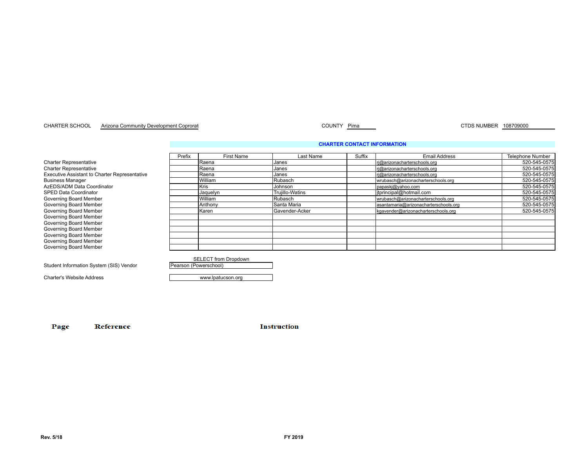#### CHARTER SCHOOL Arizona Community Development Coproration and the community Development Coproration of the control of the country Pima CTDS NUMBER 108709000

**CHARTER CONTACT INFORMATION**

|                                               | Prefix | <b>First Name</b>           | Last Name              | Suffix | <b>Email Address</b>                  | <b>Telephone Number</b> |
|-----------------------------------------------|--------|-----------------------------|------------------------|--------|---------------------------------------|-------------------------|
| <b>Charter Representative</b>                 |        | <b>IRaena</b>               | Janes                  |        | ri@arizonacharterschools.org          | 520-545-0575            |
| <b>Charter Representative</b>                 |        | <b>IRaena</b>               | Janes                  |        | ri@arizonacharterschools.org          | 520-545-0575            |
| Executive Assistant to Charter Representative |        | <b>Raena</b>                | Janes                  |        | ri@arizonacharterschools.org          | 520-545-0575            |
| <b>Business Manager</b>                       |        | <b>William</b>              | Rubasch                |        | wrubasch@arizonacharterschools.org    | 520-545-0575            |
| AzEDS/ADM Data Coordinator                    |        | <b>I</b> Kris               | Johnson                |        | papaskj@yahoo.com                     | 520-545-0575            |
| SPED Data Coordinator                         |        | Jaquelyn                    | <b>Trujillo-Watins</b> |        | itprincipal@hotmail.com               | 520-545-0575            |
| Governing Board Member                        |        | <b>William</b>              | Rubasch                |        | wrubasch@arizonacharterschools.org    | 520-545-0575            |
| Governing Board Member                        |        | Anthony                     | Santa Maria            |        | asantamaria@arizonacharterschools.org | 520-545-0575            |
| Governing Board Member                        |        | Karen                       | Gavender-Acker         |        | kgavender@arizonacharterschools.org   | 520-545-0575            |
| Governing Board Member                        |        |                             |                        |        |                                       |                         |
| Governing Board Member                        |        |                             |                        |        |                                       |                         |
| Governing Board Member                        |        |                             |                        |        |                                       |                         |
| Governing Board Member                        |        |                             |                        |        |                                       |                         |
| Governing Board Member                        |        |                             |                        |        |                                       |                         |
| Governing Board Member                        |        |                             |                        |        |                                       |                         |
|                                               |        |                             |                        |        |                                       |                         |
|                                               |        | <b>SELECT</b> from Dropdown |                        |        |                                       |                         |
| Student Information System (SIS) Vendor       |        | Pearson (Powerschool)       |                        |        |                                       |                         |

Charter's Website Address **Website Address** www.lpatucson.org

Page Reference **Instruction**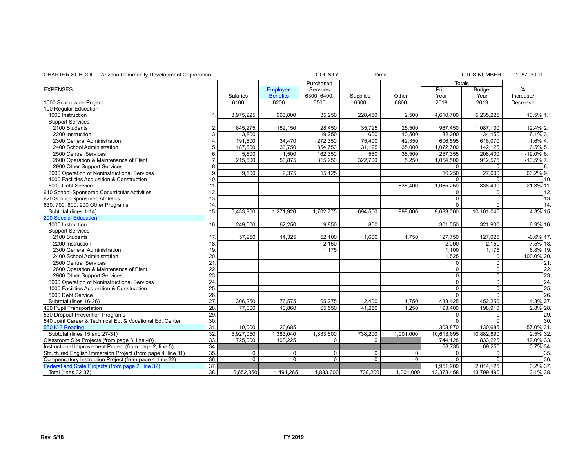| CHARTER SCHOOL Arizona Community Development Coproration            |                   |                |                 | <b>COUNTY</b>  | Pima           |                |                | <b>CTDS NUMBER</b> | 108709000      |      |
|---------------------------------------------------------------------|-------------------|----------------|-----------------|----------------|----------------|----------------|----------------|--------------------|----------------|------|
|                                                                     |                   |                |                 | Purchased      |                |                | <b>Totals</b>  |                    |                |      |
| <b>EXPENSES</b>                                                     |                   |                | Employee        | Services       |                |                | Prior          | <b>Budget</b>      | $\%$           |      |
|                                                                     |                   | Salaries       | <b>Benefits</b> | 6300, 6400,    | Supplies       | Other          | Year           | Year               | Increase/      |      |
| 1000 Schoolwide Project                                             |                   | 6100           | 6200            | 6500           | 6600           | 6800           | 2018           | 2019               | Decrease       |      |
| 100 Regular Education                                               |                   |                |                 |                |                |                |                |                    |                |      |
| 1000 Instruction                                                    |                   | 3,975,225      | 993.800         | 35,250         | 228,450        | 2,500          | 4,610,700      | 5,235,225          | $13.5\%$ 1.    |      |
| <b>Support Services</b>                                             |                   |                |                 |                |                |                |                |                    |                |      |
| 2100 Students                                                       | 2                 | 845,275        | 152,150         | 28,450         | 35,725         | 25,500         | 967,450        | 1,087,100          | 12.4% 2.       |      |
| 2200 Instruction                                                    | 3                 | 3,800          |                 | 19,250         | 600            | 10,500         | 32,200         | 34,150             | $6.1\%$ 3.     |      |
| 2300 General Administration                                         |                   | 191,500        | 34,470          | 272,350        | 75,400         | 42,350         | 606,595        | 616,070            | $1.6\%$ 4.     |      |
| 2400 School Administration                                          | 5.                | 187,500        | 33,750          | 854,750        | 31,125         | 35,000         | 1,072,700      | 1,142,125          | $6.5\%$ 5.     |      |
| 2500 Central Services                                               | 6.                | 5,500          | 1,500           | 162,350        | 550            | 38,500         | 257,355        | 208,400            | $-19.0\%$ 6.   |      |
| 2600 Operation & Maintenance of Plant                               | 7.                | 215,500        | 53,875          | 315,250        | 322,700        | 5.250          | 1,054,500      | 912,575            | $-13.5\%$ 7.   |      |
| 2900 Other Support Services                                         | 8.                |                |                 |                |                |                | 0              | 0                  |                |      |
| 3000 Operation of Noninstructional Services                         | 9.                | 9.500          | 2.375           | 15.125         |                |                | 16,250         | 27,000             | $66.2\%$ 9.    |      |
| 4000 Facilities Acquisition & Construction                          | 10.               |                |                 |                |                |                | 0              | 0                  |                | 110. |
| 5000 Debt Service                                                   | 11                |                |                 |                |                | 838,400        | 1,065,250      | 838,400            | $-21.3\%$ 11.  |      |
| 610 School-Sponsored Cocurricular Activities                        | 12.               |                |                 |                |                |                | 0              | 0                  |                | 12.  |
| 620 School-Sponsored Athletics                                      | 13.               |                |                 |                |                |                | 0              | 0                  |                | 13.  |
| 630, 700, 800, 900 Other Programs                                   | 14                |                |                 |                |                |                | $\overline{0}$ | $\Omega$           |                | 14.  |
| Subtotal (lines 1-14)                                               | 15.               | 5,433,800      | 1,271,920       | 1,702,775      | 694,550        | 998,000        | 9,683,000      | 10,101,045         | 4.3% 15.       |      |
| <b>200 Special Education</b>                                        |                   |                |                 |                |                |                |                |                    |                |      |
| 1000 Instruction                                                    | 16.               | 249,000        | 62,250          | 9,850          | 800            |                | 301,050        | 321,900            | $6.9\%$ 16.    |      |
| <b>Support Services</b>                                             |                   |                |                 |                |                |                |                |                    |                |      |
| 2100 Students                                                       | 17                | 57,250         | 14,325          | 52,100         | 1.600          | 1,750          | 127,750        | 127,025            | $-0.6\%$ 17.   |      |
| 2200 Instruction                                                    | 18.               |                |                 | 2,150          |                |                | 2.000          | 2.150              | 7.5% 18.       |      |
| 2300 General Administration                                         | 19.               |                |                 | 1.175          |                |                | 1.100          | 1,175              | 6.8% 19.       |      |
| 2400 School Administration                                          | 20.               |                |                 |                |                |                | 1,525          | 0                  | $-100.0\%$ 20. |      |
| 2500 Central Services                                               | 21.               |                |                 |                |                |                | 0              | 0                  |                | 21.  |
| 2600 Operation & Maintenance of Plant                               | 22                |                |                 |                |                |                | $\mathbf 0$    | $\mathbf{0}$       |                | 22.  |
| 2900 Other Support Services                                         | 23.               |                |                 |                |                |                | $\mathbf 0$    | $\mathbf 0$        |                | 23.  |
| 3000 Operation of Noninstructional Services                         | 24                |                |                 |                |                |                | $\overline{0}$ | $\overline{0}$     |                | 24.  |
| 4000 Facilities Acquisition & Construction                          | 25.               |                |                 |                |                |                | 0              | $\mathbf 0$        |                | 25.  |
| 5000 Debt Service                                                   | 26.               |                |                 |                |                |                | $\overline{0}$ | $\overline{0}$     |                | 26.  |
| 3060 Subpetial line decidio 26 Disability Title 8 PL 103-382 Add-On | 28.               | 306.250        | 76.575          | 65.275         | 2.400          | 1.750          | 433,425        | 452,250            | $4.3\%$ 27.    |      |
| 400 Pupil Transportation                                            | 28.               | 77,000         | 13,860          | 65,550         | 41,250         | 1,250          | 193,400        | 198,910            | $2.8\%$ 28.    |      |
| 530 Dropout Prevention Programs                                     | 29.               |                |                 |                |                |                | 0              | 0                  |                | 29.  |
| 540 Joint Career & Technical Ed. & Vocational Ed. Center            | 30.               |                |                 |                |                |                | 0              | $\Omega$           |                | 130. |
| 550 K-3 Reading                                                     | 31.               | 110,000        | 20,685          |                |                |                | 303,870        | 130,685            | $-57.0\%$ 31.  |      |
| Subtotal (lines 15 and 27-31)                                       | 32.               | 5,927,050      | 1.383.040       | 1,833,600      | 738,200        | 1,001,000      | 10,613,695     | 10,882,890         | 2.5% 32.       |      |
| Classroom Site Projects (from page 3, line 40)                      | 33.               | 725,000        | 108,225         | 0              | $\Omega$       |                | 744,128        | 833,225            | 12.0% 33.      |      |
| Instructional Improvement Project (from page 2, line 5)             | 34.               |                |                 |                |                |                | 68,735         | 69,250             | $0.7\%$ 34.    |      |
| Structured English Immersion Project (from page 4, line 11)         | 35.               | 0              | $\mathbf 0$     | 0              | $\mathbf 0$    | $\mathbf 0$    | 0              | 0                  |                | 35.  |
| Compensatory Instruction Project (from page 4, line 22)             | 36.               | $\overline{0}$ | $\Omega$        | $\overline{0}$ | $\overline{0}$ | $\overline{0}$ | $\overline{0}$ | $\Omega$           |                | 36.  |
| Federal and State Projects (from page 2, line 32)                   | $\overline{37}$ . |                |                 |                |                |                | 1.951.900      | 2,014,125          | $3.2\%$ 37.    |      |
| Total (lines 32-37)                                                 | 38.               | 6,652,050      | 1,491,265       | 1,833,600      | 738,200        | 1,001,000      | 13,378,458     | 13,799,490         | $3.1\%$ 38.    |      |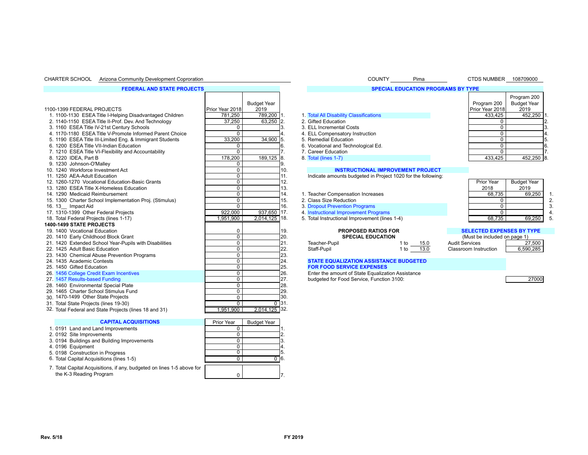#### CHARTER SCHOOL Arizona Community Development Coproration National Community Counter Country COUNTY Pima CTDS NUMBER 108709000

#### **FEDERAL AND STATE PROJECTS**

|                                                          |                 |                    |                                |                                                              |           |                                  | Program 200        |              |
|----------------------------------------------------------|-----------------|--------------------|--------------------------------|--------------------------------------------------------------|-----------|----------------------------------|--------------------|--------------|
|                                                          |                 | <b>Budget Year</b> |                                |                                                              |           | Program 200                      | <b>Budget Year</b> |              |
| 1100-1399 FEDERAL PROJECTS                               | Prior Year 2018 | 2019               |                                |                                                              |           | Prior Year 2018                  | 2019               |              |
| 1. 1100-1130 ESEA Title I-Helping Disadvantaged Children | 781.250         | 789,200            |                                | 1. Total All Disability Classifications                      |           | 433,425                          | 452,250            |              |
| 2. 1140-1150 ESEA Title II-Prof. Dev. And Technology     | 37,250          | $63,250$ 2.        | 2. Gifted Education            |                                                              |           | $\mathbf 0$                      |                    |              |
| 3. 1160 ESEA Title IV-21st Century Schools               | 0               |                    | 3. ELL Incremental Costs       |                                                              |           | $\mathbf 0$                      |                    | 13.          |
| 4. 1170-1180 ESEA Title V-Promote Informed Parent Choice | $\mathbf 0$     |                    |                                | 4. ELL Compensatory Instruction                              |           | $\mathbf 0$                      |                    | 4.           |
| 5. 1190 ESEA Title III-Limited Eng. & Immigrant Students | 33,200          | 34,900             | 5. Remedial Education<br>15.   |                                                              |           | $\mathbf 0$                      |                    | 15.          |
| 6. 1200 ESEA Title VII-Indian Education                  | 0               |                    | 6.                             | 6. Vocational and Technological Ed.                          |           | $\mathbf 0$                      |                    | 16.          |
| 7. 1210 ESEA Title VI-Flexibility and Accountability     | $\mathbf{0}$    |                    | 7. Career Education            |                                                              |           | $\Omega$                         |                    |              |
| 8. 1220 IDEA, Part B                                     | 178,200         | 189,125            | 8.<br>8. Total (lines 1-7)     |                                                              |           | 433,425                          | 452,250 8.         |              |
| 9. 1230 Johnson-O'Malley                                 | 0               |                    | 9.                             |                                                              |           |                                  |                    |              |
| 10. 1240 Workforce Investment Act                        | $\overline{0}$  |                    | 10.                            | <b>INSTRUCTIONAL IMPROVEMENT PROJECT</b>                     |           |                                  |                    |              |
| 11. 1250 AEA-Adult Education                             | $\mathbf 0$     |                    | 11.                            | Indicate amounts budgeted in Project 1020 for the following: |           |                                  |                    |              |
| 12. 1260-1270 Vocational Education-Basic Grants          | $\mathbf 0$     |                    | 12.                            |                                                              |           | Prior Year                       | <b>Budget Year</b> |              |
| 13. 1280 ESEA Title X-Homeless Education                 | $\overline{0}$  |                    | 13.                            |                                                              |           | 2018                             | 2019               |              |
| 14. 1290 Medicaid Reimbursement                          | $\mathbf 0$     |                    | 14.                            | 1. Teacher Compensation Increases                            |           | 68,735                           | 69,250             | $\mathbf{1}$ |
| 15. 1300 Charter School Implementation Proj. (Stimulus)  | $\mathbf 0$     |                    | 15.<br>2. Class Size Reduction |                                                              |           | 0 <sup>1</sup>                   |                    | 2.           |
| 16. 13 Impact Aid                                        | 0               |                    | 16.                            | 3. Dropout Prevention Programs                               |           | $\overline{0}$                   |                    | 3.           |
| 17. 1310-1399 Other Federal Projects                     | 922.000         | 937,650            | 17.                            | 4. Instructional Improvement Programs                        |           | $\Omega$                         |                    |              |
| 18. Total Federal Projects (lines 1-17)                  | 1,951,900       | $2,014,125$ 18.    |                                | 5. Total Instructional Improvement (lines 1-4)               |           | 68.735                           | 69,250             | 5.           |
| <b>1400-1499 STATE PROJECTS</b>                          |                 |                    |                                |                                                              |           |                                  |                    |              |
| 19. 1400 Vocational Education                            | 0               |                    | 19.                            | <b>PROPOSED RATIOS FOR</b>                                   |           | <b>SELECTED EXPENSES BY TYPE</b> |                    |              |
| 20. 1410 Early Childhood Block Grant                     | $\overline{0}$  |                    | 20.                            | <b>SPECIAL EDUCATION</b>                                     |           | (Must be included on page 1)     |                    |              |
| 21. 1420 Extended School Year-Pupils with Disabilities   | $\mathbf 0$     |                    | l21.<br>Teacher-Pupil          |                                                              | 1 to 15.0 | <b>Audit Services</b>            | 27,500             |              |
| 22. 1425 Adult Basic Education                           | $\mathbf 0$     |                    | 22.<br>Staff-Pupil             |                                                              | 1 to 13.0 | Classroom Instruction            | 6,590,285          |              |
| 23. 1430 Chemical Abuse Prevention Programs              | $\mathbf 0$     |                    | 23.                            |                                                              |           |                                  |                    |              |
| 24. 1435 Academic Contests                               | $\overline{0}$  |                    | 24.                            | <b>STATE EQUALIZATION ASSISTANCE BUDGETED</b>                |           |                                  |                    |              |
| 25. 1450 Gifted Education                                | $\mathbf 0$     |                    | 25.                            | <b>FOR FOOD SERVICE EXPENSES</b>                             |           |                                  |                    |              |
| 26. 1456 College Credit Exam Incentives                  | $\mathbf 0$     |                    | 26.                            | Enter the amount of State Equalization Assistance            |           |                                  |                    |              |
| 27. 1457 Results-based Funding                           | $\overline{0}$  |                    | 127.                           | budgeted for Food Service, Function 3100:                    |           |                                  | 27000              |              |
| 28. 1460 Environmental Special Plate                     | $\mathbf 0$     |                    | 28.                            |                                                              |           |                                  |                    |              |
| 29. 1465 Charter School Stimulus Fund                    | $\overline{0}$  |                    | 29.                            |                                                              |           |                                  |                    |              |
| 30. 1470-1499 Other State Projects                       | $\overline{0}$  |                    | İзо.                           |                                                              |           |                                  |                    |              |
| 31. Total State Projects (lines 19-30)                   | $\overline{0}$  | $0$ 31.            |                                |                                                              |           |                                  |                    |              |
| 32. Total Federal and State Projects (lines 18 and 31)   | 1.951.900       | $2,014,125$ 32.    |                                |                                                              |           |                                  |                    |              |
|                                                          |                 |                    |                                |                                                              |           |                                  |                    |              |
| <b>CAPITAL ACQUISITIONS</b>                              | Prior Year      | <b>Budget Year</b> |                                |                                                              |           |                                  |                    |              |
| 1. 0191 Land and Land Improvements                       | 0               |                    |                                |                                                              |           |                                  |                    |              |
| 2. 0192 Site Improvements                                | $\overline{0}$  |                    |                                |                                                              |           |                                  |                    |              |
| 3. 0194 Buildings and Building Improvements              | $\mathbf 0$     |                    | 3                              |                                                              |           |                                  |                    |              |
| 4.0196 Equipment                                         |                 |                    |                                |                                                              |           |                                  |                    |              |
|                                                          | $\mathbf 0$     |                    |                                |                                                              |           |                                  |                    |              |
| 5. 0198 Construction in Progress                         | $\overline{0}$  |                    | 5.                             |                                                              |           |                                  |                    |              |

7. Total Capital Acquisitions, if any, budgeted on lines 1-5 above for

the K-3 Reading Program

|                 |                            |            |                                                              | <b>SPECIAL EDUCATION PROGR</b> |
|-----------------|----------------------------|------------|--------------------------------------------------------------|--------------------------------|
| Prior Year 2018 | <b>Budget Year</b><br>2019 |            |                                                              |                                |
| 781,250         | 789,200 1.                 |            | 1. Total All Disability Classifications                      |                                |
| 37,250          | 63,250                     | 12.        | 2. Gifted Education                                          |                                |
| 0               |                            | 3.         | 3. ELL Incremental Costs                                     |                                |
| $\Omega$        |                            | 4.         | 4. ELL Compensatory Instruction                              |                                |
| 33,200          | 34,900                     | 5.         | 5. Remedial Education                                        |                                |
| 0               |                            | 6.         | 6. Vocational and Technological Ed.                          |                                |
| $\Omega$        |                            | 7.         | 7. Career Education                                          |                                |
| 178,200         | 189,125                    | 18.        | 8. Total (lines 1-7)                                         |                                |
| 0               |                            | 9.         |                                                              |                                |
| 0               |                            | 10.        | <b>INSTRUCTIONAL IMPROVEMENT PROJECT</b>                     |                                |
| 0               |                            | 11.        | Indicate amounts budgeted in Project 1020 for the following: |                                |
| 0               |                            | 12.        |                                                              |                                |
| 0               |                            | 13.        |                                                              |                                |
| 0               |                            | 14.        | 1. Teacher Compensation Increases                            |                                |
| 0               |                            | 15.        | 2. Class Size Reduction                                      |                                |
| $\Omega$        |                            | 16.        | 3. Dropout Prevention Programs                               |                                |
| 922,000         | 937,650                    | 17.        | 4. Instructional Improvement Programs                        |                                |
| 1,951,900       | $2,014,125$   18.          |            | 5. Total Instructional Improvement (lines 1-4)               |                                |
| 0<br>0          |                            | 19.<br>20. | <b>PROPOSED RATIOS FOR</b><br><b>SPECIAL EDUCATION</b>       |                                |
| 0               |                            | 21.        | Teacher-Pupil                                                | 1 to<br>15.0                   |
| 0               |                            | 22.        | Staff-Pupil                                                  | 13.0<br>1 to                   |
| 0               |                            | 23.        |                                                              |                                |
| 0               |                            | 24.        | <b>STATE EQUALIZATION ASSISTANCE BUDGETED</b>                |                                |
| 0               |                            | 25.        | <b>FOR FOOD SERVICE EXPENSES</b>                             |                                |
| 0               |                            | 26.        | Enter the amount of State Equalization Assistance            |                                |
| 0               |                            | 27.        | budgeted for Food Service, Function 3100:                    |                                |
| 0               |                            | 28.        |                                                              |                                |
| 0               |                            | 29.        |                                                              |                                |
| 0               |                            | 30.        |                                                              |                                |
| $\overline{0}$  | 0                          | 31.        |                                                              |                                |
| 1.951.900       | 2.014.125                  | 32.        |                                                              |                                |

#### **SPECIAL EDUCATION PROGRAMS BY**

| <b>TYPE</b>      |                    |    |
|------------------|--------------------|----|
|                  | Program 200        |    |
| Program 200      | <b>Budget Year</b> |    |
| Prior Year 2018  | 2019               |    |
| 433,425          | 452,250            |    |
|                  |                    | 2. |
|                  |                    | 3. |
| Ω                |                    |    |
| n                |                    | 5. |
|                  |                    | 6. |
|                  |                    |    |
| $\Lambda$<br>າລລ | חבר<br>ィピつ         |    |

#### Teacher Compensation Increases and the compensation of the compensation Increases 69,250 1.<br>Class Size Reduction 68,735 69,250 1. Prior Year 2018 Budget Year 2019

# **19. 19. 1400 PROPOSED RATIOS FOR** 19. 1400 VOCATION 19. **PROPOSED RATIOS FOR** 19. **PROPOSED EXPENSES BY TYPE 20. SPECIAL EDUCATION (**Must be included on page 1)<br>27.500 Teacher-Pupil **SPECIAL EDUCATION** 15.0 Audit Services

### **24. 1435 STATE EQUALIZATION ASSISTANCE BUDGETED**

| Prior Year | <b>Budget Year</b> |    |
|------------|--------------------|----|
| 0          |                    |    |
| 0          |                    | 2. |
| 0          |                    | 3  |
| 0          |                    |    |
|            |                    | 5. |
|            |                    | 6  |
|            |                    |    |
|            |                    |    |
|            |                    |    |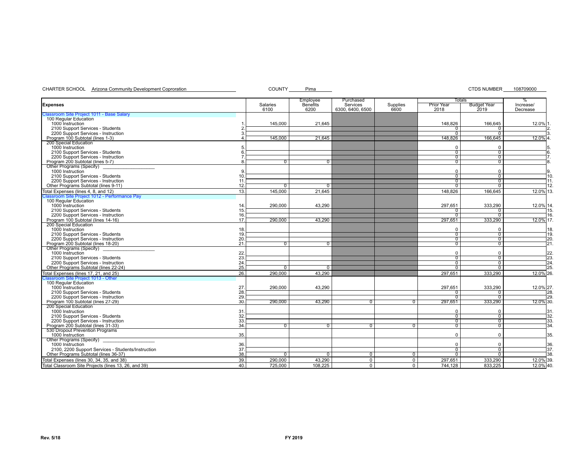CHARTER SCHOOL Arizona Community Development Coproration Community COUNTY Pima COUNTY Pima CTDS NUMBER 108709000

|                                                                        |              | Employee        | Purchased        |                |                   | <b>Totals</b>      | $\%$      |
|------------------------------------------------------------------------|--------------|-----------------|------------------|----------------|-------------------|--------------------|-----------|
| <b>Expenses</b>                                                        | Salaries     | <b>Benefits</b> | Services         | Supplies       | <b>Prior Year</b> | <b>Budget Year</b> | Increase/ |
|                                                                        | 6100         | 6200            | 6300, 6400, 6500 | 6600           | 2018              | 2019               | Decrease  |
| Classroom Site Project 1011 - Base Salary                              |              |                 |                  |                |                   |                    |           |
| 100 Regular Education                                                  |              |                 |                  |                |                   |                    |           |
| 1000 Instruction                                                       | 145,000      | 21,645          |                  |                | 148.826           | 166.645            | 12.0% 1.  |
| 2100 Support Services - Students                                       |              |                 |                  |                |                   |                    |           |
| 2200 Support Services - Instruction                                    |              |                 |                  |                | 0                 | $\overline{0}$     |           |
| Program 100 Subtotal (lines 1-3)                                       | 145,000      | 21.645          |                  |                | 148,826           | 166,645            | 12.0% 4.  |
| 200 Special Education                                                  |              |                 |                  |                |                   |                    |           |
| 1000 Instruction                                                       |              |                 |                  |                | $\Omega$          | $\Omega$           | 5.        |
| 2100 Support Services - Students                                       |              |                 |                  |                | $\overline{0}$    | $\overline{0}$     | 6.        |
| 2200 Support Services - Instruction                                    |              |                 |                  |                | $\overline{0}$    | $\overline{0}$     | 17.       |
| Program 200 Subtotal (lines 5-7)                                       | <sup>0</sup> | 0               |                  |                | $\overline{0}$    | $\overline{0}$     | 8.        |
| Other Programs (Specify)                                               |              |                 |                  |                |                   |                    |           |
| 1000 Instruction                                                       |              |                 |                  |                | 0                 | $\Omega$           | Ι9.       |
| 2100 Support Services - Students<br>10                                 |              |                 |                  |                | 0                 | ᠬ                  | 10        |
| 2200 Support Services - Instruction<br>11                              |              |                 |                  |                | $\Omega$          | ᢆ                  | 11.       |
| Other Programs Subtotal (lines 9-11)<br>12.                            | $\Omega$     | 0               |                  |                | ᠊ᢆᢆ               | ᡴ                  | 12.       |
|                                                                        |              |                 |                  |                |                   |                    |           |
| 13.<br>Total Expenses (lines 4, 8, and 12)                             | 145,000      | 21.645          |                  |                | 148,826           | 166,645            | 12.0% 13. |
| Classroom Site Project 1012 - Performance Pay<br>100 Regular Education |              |                 |                  |                |                   |                    |           |
|                                                                        |              |                 |                  |                |                   |                    |           |
| 1000 Instruction<br>14                                                 | 290.000      | 43,290          |                  |                | 297.651           | 333,290            | 12.0% 14. |
| 2100 Support Services - Students<br>15.                                |              |                 |                  |                | $\Omega$          | 0                  | 15.       |
| 2200 Support Services - Instruction<br>16.                             |              |                 |                  |                | $\Omega$          | $\overline{0}$     | 16.       |
| Program 100 Subtotal (lines 14-16)<br>17.                              | 290,000      | 43,290          |                  |                | 297,651           | 333,290            | 12.0% 17. |
| 200 Special Education                                                  |              |                 |                  |                |                   |                    |           |
| 1000 Instruction<br>18.                                                |              |                 |                  |                | 0                 | $\Omega$           | 18.       |
| 19<br>2100 Support Services - Students                                 |              |                 |                  |                | $\overline{0}$    | $\overline{0}$     | 19.       |
| 2200 Support Services - Instruction<br>20                              |              |                 |                  |                | $\overline{0}$    | 0                  | 20        |
| 21.<br>Program 200 Subtotal (lines 18-20)                              |              | 0               |                  |                | $\overline{0}$    | 0                  | 21        |
| Other Programs (Specify)                                               |              |                 |                  |                |                   |                    |           |
| 22<br>1000 Instruction                                                 |              |                 |                  |                | $\Omega$          | $\Omega$           | 22.       |
| 23.<br>2100 Support Services - Students                                |              |                 |                  |                | ᠊ᢐ                | ᠬ                  | 23        |
| 24.<br>2200 Support Services - Instruction                             |              |                 |                  |                |                   |                    |           |
|                                                                        |              |                 |                  |                | 0                 | 0                  | 24.       |
| 25.<br>Other Programs Subtotal (lines 22-24)                           | <sup>0</sup> | $\sigma$        |                  |                | O.                | ᠬ                  | 25.       |
| Total Expenses (lines 17, 21, and 25)<br>26.                           | 290.000      | 43.290          |                  |                | 297.651           | 333,290            | 12.0% 26. |
| Classroom Site Project 1013 - Other                                    |              |                 |                  |                |                   |                    |           |
| 100 Regular Education                                                  |              |                 |                  |                |                   |                    |           |
| 1000 Instruction<br>27.                                                | 290,000      | 43,290          |                  |                | 297.651           | 333,290            | 12.0% 27. |
| 28.<br>2100 Support Services - Students                                |              |                 |                  |                | 0                 | $^{\circ}$         | 28.       |
| 2200 Support Services - Instruction<br>29.                             |              |                 |                  |                | $\overline{0}$    | $\overline{0}$     | 29.       |
| Program 100 Subtotal (lines 27-29)<br>30.                              | 290,000      | 43,290          | $\Omega$         | $\overline{0}$ | 297,651           | 333,290            | 12.0% 30  |
| 200 Special Education                                                  |              |                 |                  |                |                   |                    |           |
| 1000 Instruction<br>31                                                 |              |                 |                  |                | $\mathbf 0$       | $\Omega$           | 31.       |
| 32.<br>2100 Support Services - Students                                |              |                 |                  |                | $\overline{0}$    | $\overline{0}$     | 32        |
| 2200 Support Services - Instruction<br>33.                             |              |                 |                  |                | $\overline{0}$    | $\overline{0}$     | 33.       |
| 34<br>Program 200 Subtotal (lines 31-33)                               | <sup>n</sup> | n.              | $\overline{0}$   | $\overline{0}$ | $\overline{0}$    | $\overline{0}$     | 34.       |
| 530 Dropout Prevention Programs                                        |              |                 |                  |                |                   |                    |           |
| 1000 Instruction<br>35.                                                |              |                 |                  |                | $\Omega$          | $\Omega$           | 35.       |
| Other Programs (Specify)                                               |              |                 |                  |                |                   |                    |           |
| 1000 Instruction<br>36.                                                |              |                 |                  |                | $\Omega$          | $\Omega$           | 36.       |
| 37.<br>2100, 2200 Support Services - Students/Instruction              |              |                 |                  |                | ช                 | ᢐ                  | 37.       |
|                                                                        |              |                 |                  |                |                   |                    |           |
| Other Programs Subtotal (lines 36-37)<br>38.                           | 0            | 0               | 0                | $\overline{0}$ | 0                 | $^{\circ}$         | 38.       |
| 39.<br>Total Expenses (lines 30, 34, 35, and 38)                       | 290.000      | 43,290          | $\overline{0}$   | $\overline{0}$ | 297,651           | 333,290            | 12.0% 39. |
| Total Classroom Site Projects (lines 13, 26, and 39)<br>40.            | 725.000      | 108,225         | $\overline{0}$   | $\overline{0}$ | 744,128           | 833.225            | 12.0% 40. |
|                                                                        |              |                 |                  |                |                   |                    |           |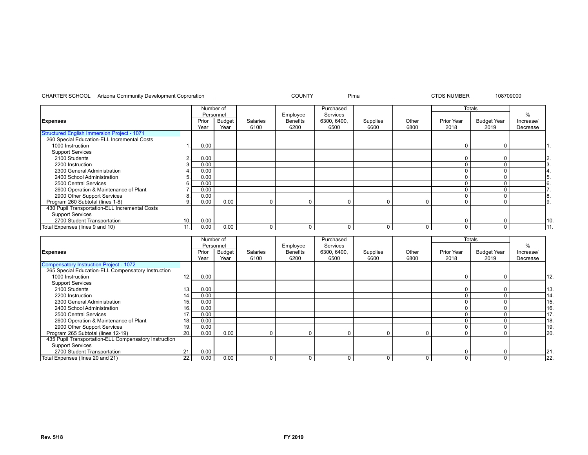#### CHARTER SCHOOL Arizona Community Development Coproration external community of the COUNTY Pima Pima 2007 CTDS NUMBER 108709000

|                                                |     | Number of     |                       |                  |                         | Purchased           |                  |               |                    | <b>Totals</b>              |                       |
|------------------------------------------------|-----|---------------|-----------------------|------------------|-------------------------|---------------------|------------------|---------------|--------------------|----------------------------|-----------------------|
|                                                |     | Personnel     |                       |                  | Employee                | Services            |                  |               |                    |                            | $\%$                  |
| <b>Expenses</b>                                |     | Prior<br>Year | <b>Budget</b><br>Year | Salaries<br>6100 | <b>Benefits</b><br>6200 | 6300, 6400,<br>6500 | Supplies<br>6600 | Other<br>6800 | Prior Year<br>2018 | <b>Budget Year</b><br>2019 | Increase/<br>Decrease |
| Structured English Immersion Project - 1071    |     |               |                       |                  |                         |                     |                  |               |                    |                            |                       |
| 260 Special Education-ELL Incremental Costs    |     |               |                       |                  |                         |                     |                  |               |                    |                            |                       |
| 1000 Instruction                               |     | 0.00          |                       |                  |                         |                     |                  |               |                    | $\Omega$                   |                       |
| <b>Support Services</b>                        |     |               |                       |                  |                         |                     |                  |               |                    |                            |                       |
| 2100 Students                                  |     | 0.00          |                       |                  |                         |                     |                  |               |                    |                            |                       |
| 2200 Instruction                               |     | 0.00          |                       |                  |                         |                     |                  |               |                    |                            |                       |
| 2300 General Administration                    |     | 0.00          |                       |                  |                         |                     |                  |               |                    |                            |                       |
| 2400 School Administration                     |     | 0.00          |                       |                  |                         |                     |                  |               |                    |                            |                       |
| 2500 Central Services                          | 6.  | 0.00          |                       |                  |                         |                     |                  |               |                    |                            |                       |
| 2600 Operation & Maintenance of Plant          |     | 0.00          |                       |                  |                         |                     |                  |               |                    |                            |                       |
| 2900 Other Support Services                    |     | 0.00          |                       |                  |                         |                     |                  |               |                    |                            |                       |
| Program 260 Subtotal (lines 1-8)               |     | 0.00          | 0.00                  |                  | $\Omega$                | ∩                   | C                | $\Omega$      | $\Omega$           |                            |                       |
| 430 Pupil Transportation-ELL Incremental Costs |     |               |                       |                  |                         |                     |                  |               |                    |                            |                       |
| <b>Support Services</b>                        |     |               |                       |                  |                         |                     |                  |               |                    |                            |                       |
| 2700 Student Transportation                    | 10. | 0.00          |                       |                  |                         |                     |                  |               | $\Omega$           |                            | l10.                  |
| Total Expenses (lines 9 and 10)                | 11. | 0.00          | 0.00                  |                  | 0                       | 0                   | C                | $\Omega$      | $\Omega$           | 0                          |                       |

|                                                       |      | Number of |               |          |                 | Purchased   |          |       | <b>Totals</b>     |                    |               |      |
|-------------------------------------------------------|------|-----------|---------------|----------|-----------------|-------------|----------|-------|-------------------|--------------------|---------------|------|
|                                                       |      | Personnel |               |          | Employee        | Services    |          |       |                   |                    | $\frac{9}{6}$ |      |
| Expenses                                              |      | Prior     | <b>Budget</b> | Salaries | <b>Benefits</b> | 6300, 6400, | Supplies | Other | <b>Prior Year</b> | <b>Budget Year</b> | Increase/     |      |
|                                                       |      | Year      | Year          | 6100     | 6200            | 6500        | 6600     | 6800  | 2018              | 2019               | Decrease      |      |
| Compensatory Instruction Project - 1072               |      |           |               |          |                 |             |          |       |                   |                    |               |      |
| 265 Special Education-ELL Compensatory Instruction    |      |           |               |          |                 |             |          |       |                   |                    |               |      |
| 1000 Instruction                                      | 12.  | 0.00      |               |          |                 |             |          |       | $\Omega$          |                    |               | 112. |
| <b>Support Services</b>                               |      |           |               |          |                 |             |          |       |                   |                    |               |      |
| 2100 Students                                         | 13.  | 0.00      |               |          |                 |             |          |       | 0                 |                    |               | 113. |
| 2200 Instruction                                      | 14.1 | 0.00      |               |          |                 |             |          |       | 0                 |                    |               | 14.  |
| 2300 General Administration                           | 15.  | 0.00      |               |          |                 |             |          |       | 0                 |                    |               | 15.  |
| 2400 School Administration                            | 16.  | 0.00      |               |          |                 |             |          |       | 0                 |                    |               | 16.  |
| 2500 Central Services                                 | 17.  | 0.00      |               |          |                 |             |          |       | 0                 |                    |               | 17.  |
| 2600 Operation & Maintenance of Plant                 | 18.  | 0.00      |               |          |                 |             |          |       | 0                 |                    |               | 18.  |
| 2900 Other Support Services                           | 19.  | 0.00      |               |          |                 |             |          |       |                   |                    |               | 19.  |
| Program 265 Subtotal (lines 12-19)                    | 20.  | 0.00      | 0.00          |          |                 | $\Omega$    |          |       | $\Omega$          |                    |               | 20.  |
| 435 Pupil Transportation-ELL Compensatory Instruction |      |           |               |          |                 |             |          |       |                   |                    |               |      |
| <b>Support Services</b>                               |      |           |               |          |                 |             |          |       |                   |                    |               |      |
| 2700 Student Transportation                           | 21   | 0.00      |               |          |                 |             |          |       | 0                 |                    |               | 21.  |
| Total Expenses (lines 20 and 21)                      | 22.  | 0.00      | 0.00          |          |                 | 0           |          | 0     | 0                 |                    |               | 22   |